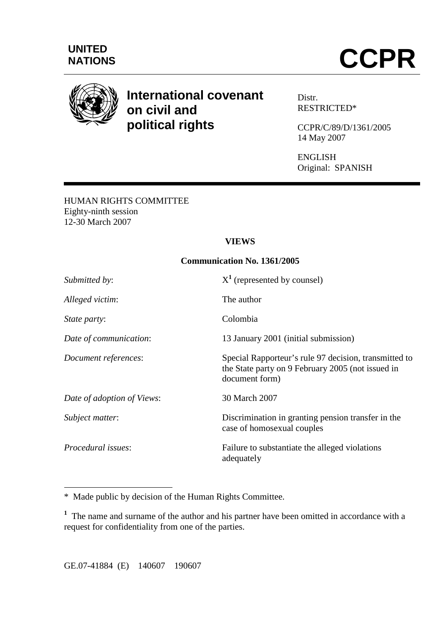

# **International covenant on civil and political rights**

Distr. RESTRICTED\*

CCPR/C/89/D/1361/2005 14 May 2007

ENGLISH Original: SPANISH

HUMAN RIGHTS COMMITTEE Eighty-ninth session 12-30 March 2007

#### **VIEWS**

#### **Communication No. 1361/2005**

| Submitted by:              | $X^1$ (represented by counsel)                                                                                               |
|----------------------------|------------------------------------------------------------------------------------------------------------------------------|
| Alleged victim:            | The author                                                                                                                   |
| <i>State party:</i>        | Colombia                                                                                                                     |
| Date of communication:     | 13 January 2001 (initial submission)                                                                                         |
| Document references:       | Special Rapporteur's rule 97 decision, transmitted to<br>the State party on 9 February 2005 (not issued in<br>document form) |
| Date of adoption of Views: | 30 March 2007                                                                                                                |
| Subject matter:            | Discrimination in granting pension transfer in the<br>case of homosexual couples                                             |
| <i>Procedural issues:</i>  | Failure to substantiate the alleged violations<br>adequately                                                                 |

\* Made public by decision of the Human Rights Committee.

<sup>1</sup> The name and surname of the author and his partner have been omitted in accordance with a request for confidentiality from one of the parties.

 $\overline{a}$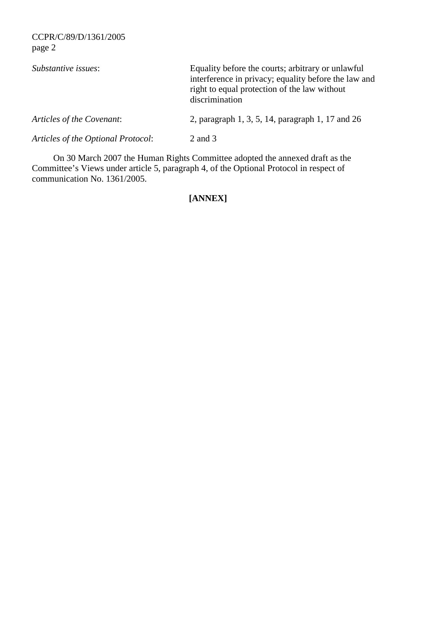| Substantive issues:                | Equality before the courts; arbitrary or unlawful<br>interference in privacy; equality before the law and<br>right to equal protection of the law without<br>discrimination |
|------------------------------------|-----------------------------------------------------------------------------------------------------------------------------------------------------------------------------|
| Articles of the Covenant:          | 2, paragraph 1, 3, 5, 14, paragraph 1, 17 and 26                                                                                                                            |
| Articles of the Optional Protocol: | 2 and 3                                                                                                                                                                     |

 On 30 March 2007 the Human Rights Committee adopted the annexed draft as the Committee's Views under article 5, paragraph 4, of the Optional Protocol in respect of communication No. 1361/2005.

## **[ANNEX]**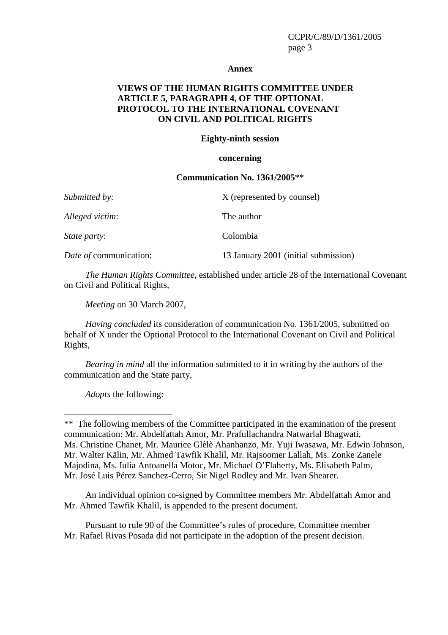#### **Annex**

#### **VIEWS OF THE HUMAN RIGHTS COMMITTEE UNDER ARTICLE 5, PARAGRAPH 4, OF THE OPTIONAL PROTOCOL TO THE INTERNATIONAL COVENANT ON CIVIL AND POLITICAL RIGHTS**

#### **Eighty-ninth session**

#### **concerning**

#### **Communication No. 1361/2005**\*\*

| Submitted by:          | X (represented by counsel)           |
|------------------------|--------------------------------------|
| Alleged victim:        | The author                           |
| <i>State party:</i>    | Colombia                             |
| Date of communication: | 13 January 2001 (initial submission) |

*The Human Rights Committee*, established under article 28 of the International Covenant on Civil and Political Rights,

*Meeting* on 30 March 2007,

*Having concluded* its consideration of communication No. 1361/2005, submitted on behalf of X under the Optional Protocol to the International Covenant on Civil and Political Rights,

*Bearing in mind* all the information submitted to it in writing by the authors of the communication and the State party,

*Adopts* the following:

 $\overline{a}$ 

 An individual opinion co-signed by Committee members Mr. Abdelfattah Amor and Mr. Ahmed Tawfik Khalil, is appended to the present document.

 Pursuant to rule 90 of the Committee's rules of procedure, Committee member Mr. Rafael Rivas Posada did not participate in the adoption of the present decision.

<sup>\*\*</sup> The following members of the Committee participated in the examination of the present communication: Mr. Abdelfattah Amor, Mr. Prafullachandra Natwarlal Bhagwati, Ms. Christine Chanet, Mr. Maurice Glèlè Ahanhanzo, Mr. Yuji Iwasawa, Mr. Edwin Johnson, Mr. Walter Kälin, Mr. Ahmed Tawfik Khalil, Mr. Rajsoomer Lallah, Ms. Zonke Zanele Majodina, Ms. Iulia Antoanella Motoc, Mr. Michael O'Flaherty, Ms. Elisabeth Palm, Mr. José Luis Pérez Sanchez-Cerro, Sir Nigel Rodley and Mr. Ivan Shearer.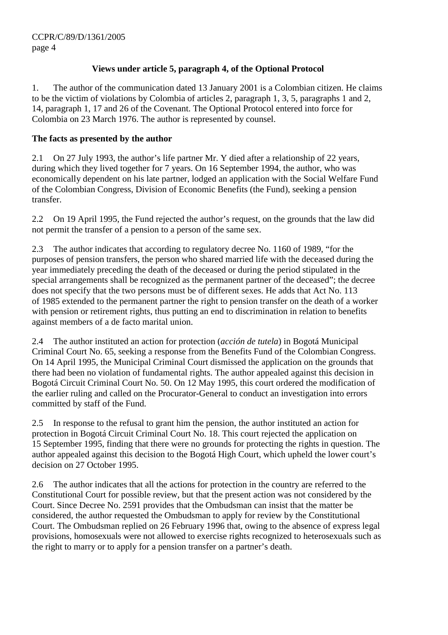## **Views under article 5, paragraph 4, of the Optional Protocol**

1. The author of the communication dated 13 January 2001 is a Colombian citizen. He claims to be the victim of violations by Colombia of articles 2, paragraph 1, 3, 5, paragraphs 1 and 2, 14, paragraph 1, 17 and 26 of the Covenant. The Optional Protocol entered into force for Colombia on 23 March 1976. The author is represented by counsel.

### **The facts as presented by the author**

2.1 On 27 July 1993, the author's life partner Mr. Y died after a relationship of 22 years, during which they lived together for 7 years. On 16 September 1994, the author, who was economically dependent on his late partner, lodged an application with the Social Welfare Fund of the Colombian Congress, Division of Economic Benefits (the Fund), seeking a pension transfer.

2.2 On 19 April 1995, the Fund rejected the author's request, on the grounds that the law did not permit the transfer of a pension to a person of the same sex.

2.3 The author indicates that according to regulatory decree No. 1160 of 1989, "for the purposes of pension transfers, the person who shared married life with the deceased during the year immediately preceding the death of the deceased or during the period stipulated in the special arrangements shall be recognized as the permanent partner of the deceased"; the decree does not specify that the two persons must be of different sexes. He adds that Act No. 113 of 1985 extended to the permanent partner the right to pension transfer on the death of a worker with pension or retirement rights, thus putting an end to discrimination in relation to benefits against members of a de facto marital union.

2.4 The author instituted an action for protection (*acción de tutela*) in Bogotá Municipal Criminal Court No. 65, seeking a response from the Benefits Fund of the Colombian Congress. On 14 April 1995, the Municipal Criminal Court dismissed the application on the grounds that there had been no violation of fundamental rights. The author appealed against this decision in Bogotá Circuit Criminal Court No. 50. On 12 May 1995, this court ordered the modification of the earlier ruling and called on the Procurator-General to conduct an investigation into errors committed by staff of the Fund.

2.5 In response to the refusal to grant him the pension, the author instituted an action for protection in Bogotá Circuit Criminal Court No. 18. This court rejected the application on 15 September 1995, finding that there were no grounds for protecting the rights in question. The author appealed against this decision to the Bogotá High Court, which upheld the lower court's decision on 27 October 1995.

2.6 The author indicates that all the actions for protection in the country are referred to the Constitutional Court for possible review, but that the present action was not considered by the Court. Since Decree No. 2591 provides that the Ombudsman can insist that the matter be considered, the author requested the Ombudsman to apply for review by the Constitutional Court. The Ombudsman replied on 26 February 1996 that, owing to the absence of express legal provisions, homosexuals were not allowed to exercise rights recognized to heterosexuals such as the right to marry or to apply for a pension transfer on a partner's death.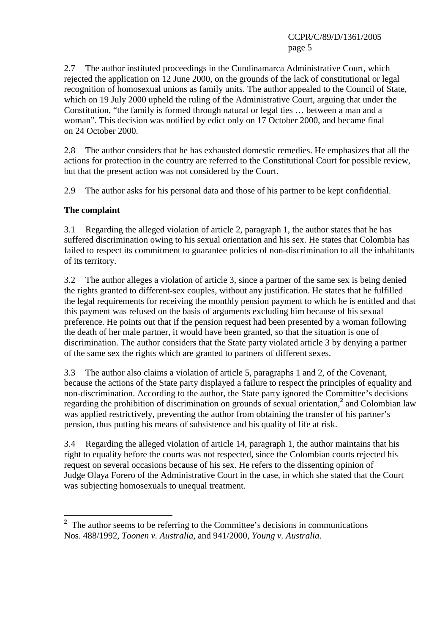2.7 The author instituted proceedings in the Cundinamarca Administrative Court, which rejected the application on 12 June 2000, on the grounds of the lack of constitutional or legal recognition of homosexual unions as family units. The author appealed to the Council of State, which on 19 July 2000 upheld the ruling of the Administrative Court, arguing that under the Constitution, "the family is formed through natural or legal ties … between a man and a woman". This decision was notified by edict only on 17 October 2000, and became final on 24 October 2000.

2.8 The author considers that he has exhausted domestic remedies. He emphasizes that all the actions for protection in the country are referred to the Constitutional Court for possible review, but that the present action was not considered by the Court.

2.9 The author asks for his personal data and those of his partner to be kept confidential.

#### **The complaint**

 $\overline{a}$ 

3.1 Regarding the alleged violation of article 2, paragraph 1, the author states that he has suffered discrimination owing to his sexual orientation and his sex. He states that Colombia has failed to respect its commitment to guarantee policies of non-discrimination to all the inhabitants of its territory.

3.2 The author alleges a violation of article 3, since a partner of the same sex is being denied the rights granted to different-sex couples, without any justification. He states that he fulfilled the legal requirements for receiving the monthly pension payment to which he is entitled and that this payment was refused on the basis of arguments excluding him because of his sexual preference. He points out that if the pension request had been presented by a woman following the death of her male partner, it would have been granted, so that the situation is one of discrimination. The author considers that the State party violated article 3 by denying a partner of the same sex the rights which are granted to partners of different sexes.

3.3 The author also claims a violation of article 5, paragraphs 1 and 2, of the Covenant, because the actions of the State party displayed a failure to respect the principles of equality and non-discrimination. According to the author, the State party ignored the Committee's decisions regarding the prohibition of discrimination on grounds of sexual orientation,**<sup>2</sup>** and Colombian law was applied restrictively, preventing the author from obtaining the transfer of his partner's pension, thus putting his means of subsistence and his quality of life at risk.

3.4 Regarding the alleged violation of article 14, paragraph 1, the author maintains that his right to equality before the courts was not respected, since the Colombian courts rejected his request on several occasions because of his sex. He refers to the dissenting opinion of Judge Olaya Forero of the Administrative Court in the case, in which she stated that the Court was subjecting homosexuals to unequal treatment.

<sup>&</sup>lt;sup>2</sup> The author seems to be referring to the Committee's decisions in communications Nos. 488/1992, *Toonen v. Australia*, and 941/2000, *Young v. Australia*.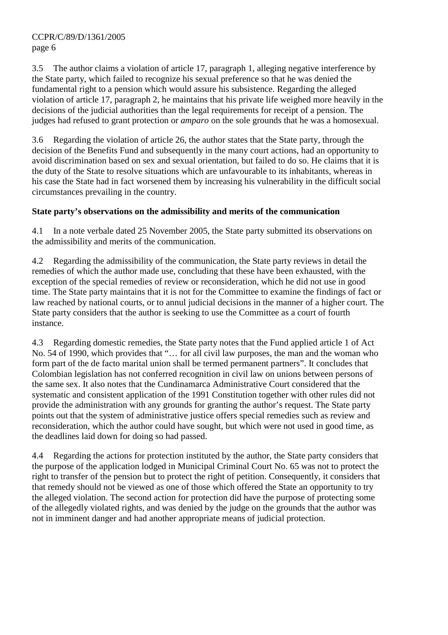3.5 The author claims a violation of article 17, paragraph 1, alleging negative interference by the State party, which failed to recognize his sexual preference so that he was denied the fundamental right to a pension which would assure his subsistence. Regarding the alleged violation of article 17, paragraph 2, he maintains that his private life weighed more heavily in the decisions of the judicial authorities than the legal requirements for receipt of a pension. The judges had refused to grant protection or *amparo* on the sole grounds that he was a homosexual.

3.6 Regarding the violation of article 26, the author states that the State party, through the decision of the Benefits Fund and subsequently in the many court actions, had an opportunity to avoid discrimination based on sex and sexual orientation, but failed to do so. He claims that it is the duty of the State to resolve situations which are unfavourable to its inhabitants, whereas in his case the State had in fact worsened them by increasing his vulnerability in the difficult social circumstances prevailing in the country.

## **State party's observations on the admissibility and merits of the communication**

4.1 In a note verbale dated 25 November 2005, the State party submitted its observations on the admissibility and merits of the communication.

4.2 Regarding the admissibility of the communication, the State party reviews in detail the remedies of which the author made use, concluding that these have been exhausted, with the exception of the special remedies of review or reconsideration, which he did not use in good time. The State party maintains that it is not for the Committee to examine the findings of fact or law reached by national courts, or to annul judicial decisions in the manner of a higher court. The State party considers that the author is seeking to use the Committee as a court of fourth instance.

4.3 Regarding domestic remedies, the State party notes that the Fund applied article 1 of Act No. 54 of 1990, which provides that "… for all civil law purposes, the man and the woman who form part of the de facto marital union shall be termed permanent partners". It concludes that Colombian legislation has not conferred recognition in civil law on unions between persons of the same sex. It also notes that the Cundinamarca Administrative Court considered that the systematic and consistent application of the 1991 Constitution together with other rules did not provide the administration with any grounds for granting the author's request. The State party points out that the system of administrative justice offers special remedies such as review and reconsideration, which the author could have sought, but which were not used in good time, as the deadlines laid down for doing so had passed.

4.4 Regarding the actions for protection instituted by the author, the State party considers that the purpose of the application lodged in Municipal Criminal Court No. 65 was not to protect the right to transfer of the pension but to protect the right of petition. Consequently, it considers that that remedy should not be viewed as one of those which offered the State an opportunity to try the alleged violation. The second action for protection did have the purpose of protecting some of the allegedly violated rights, and was denied by the judge on the grounds that the author was not in imminent danger and had another appropriate means of judicial protection.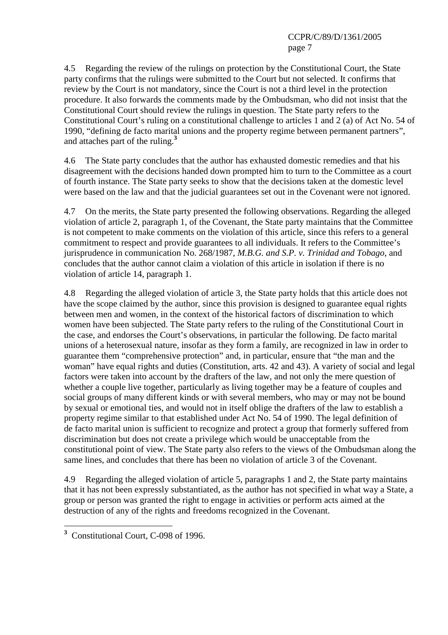4.5 Regarding the review of the rulings on protection by the Constitutional Court, the State party confirms that the rulings were submitted to the Court but not selected. It confirms that review by the Court is not mandatory, since the Court is not a third level in the protection procedure. It also forwards the comments made by the Ombudsman, who did not insist that the Constitutional Court should review the rulings in question. The State party refers to the Constitutional Court's ruling on a constitutional challenge to articles 1 and 2 (a) of Act No. 54 of 1990, "defining de facto marital unions and the property regime between permanent partners", and attaches part of the ruling.**<sup>3</sup>**

4.6 The State party concludes that the author has exhausted domestic remedies and that his disagreement with the decisions handed down prompted him to turn to the Committee as a court of fourth instance. The State party seeks to show that the decisions taken at the domestic level were based on the law and that the judicial guarantees set out in the Covenant were not ignored.

4.7 On the merits, the State party presented the following observations. Regarding the alleged violation of article 2, paragraph 1, of the Covenant, the State party maintains that the Committee is not competent to make comments on the violation of this article, since this refers to a general commitment to respect and provide guarantees to all individuals. It refers to the Committee's jurisprudence in communication No. 268/1987, *M.B.G. and S.P. v. Trinidad and Tobago*, and concludes that the author cannot claim a violation of this article in isolation if there is no violation of article 14, paragraph 1.

4.8 Regarding the alleged violation of article 3, the State party holds that this article does not have the scope claimed by the author, since this provision is designed to guarantee equal rights between men and women, in the context of the historical factors of discrimination to which women have been subjected. The State party refers to the ruling of the Constitutional Court in the case, and endorses the Court's observations, in particular the following. De facto marital unions of a heterosexual nature, insofar as they form a family, are recognized in law in order to guarantee them "comprehensive protection" and, in particular, ensure that "the man and the woman" have equal rights and duties (Constitution, arts. 42 and 43). A variety of social and legal factors were taken into account by the drafters of the law, and not only the mere question of whether a couple live together, particularly as living together may be a feature of couples and social groups of many different kinds or with several members, who may or may not be bound by sexual or emotional ties, and would not in itself oblige the drafters of the law to establish a property regime similar to that established under Act No. 54 of 1990. The legal definition of de facto marital union is sufficient to recognize and protect a group that formerly suffered from discrimination but does not create a privilege which would be unacceptable from the constitutional point of view. The State party also refers to the views of the Ombudsman along the same lines, and concludes that there has been no violation of article 3 of the Covenant.

4.9 Regarding the alleged violation of article 5, paragraphs 1 and 2, the State party maintains that it has not been expressly substantiated, as the author has not specified in what way a State, a group or person was granted the right to engage in activities or perform acts aimed at the destruction of any of the rights and freedoms recognized in the Covenant.

 $\overline{a}$ **3** Constitutional Court, C-098 of 1996.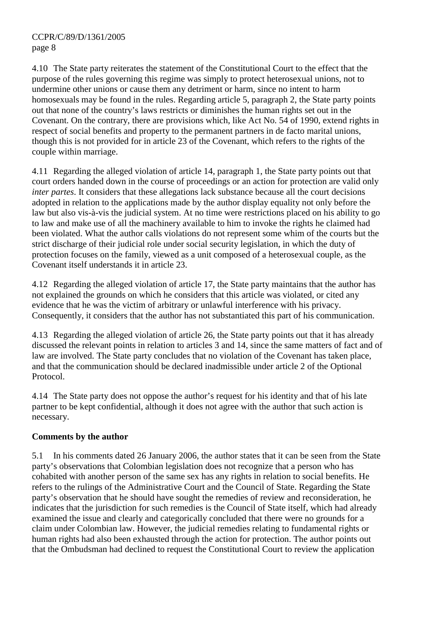4.10 The State party reiterates the statement of the Constitutional Court to the effect that the purpose of the rules governing this regime was simply to protect heterosexual unions, not to undermine other unions or cause them any detriment or harm, since no intent to harm homosexuals may be found in the rules. Regarding article 5, paragraph 2, the State party points out that none of the country's laws restricts or diminishes the human rights set out in the Covenant. On the contrary, there are provisions which, like Act No. 54 of 1990, extend rights in respect of social benefits and property to the permanent partners in de facto marital unions, though this is not provided for in article 23 of the Covenant, which refers to the rights of the couple within marriage.

4.11 Regarding the alleged violation of article 14, paragraph 1, the State party points out that court orders handed down in the course of proceedings or an action for protection are valid only *inter partes*. It considers that these allegations lack substance because all the court decisions adopted in relation to the applications made by the author display equality not only before the law but also vis-à-vis the judicial system. At no time were restrictions placed on his ability to go to law and make use of all the machinery available to him to invoke the rights he claimed had been violated. What the author calls violations do not represent some whim of the courts but the strict discharge of their judicial role under social security legislation, in which the duty of protection focuses on the family, viewed as a unit composed of a heterosexual couple, as the Covenant itself understands it in article 23.

4.12 Regarding the alleged violation of article 17, the State party maintains that the author has not explained the grounds on which he considers that this article was violated, or cited any evidence that he was the victim of arbitrary or unlawful interference with his privacy. Consequently, it considers that the author has not substantiated this part of his communication.

4.13 Regarding the alleged violation of article 26, the State party points out that it has already discussed the relevant points in relation to articles 3 and 14, since the same matters of fact and of law are involved. The State party concludes that no violation of the Covenant has taken place, and that the communication should be declared inadmissible under article 2 of the Optional Protocol.

4.14 The State party does not oppose the author's request for his identity and that of his late partner to be kept confidential, although it does not agree with the author that such action is necessary.

## **Comments by the author**

5.1 In his comments dated 26 January 2006, the author states that it can be seen from the State party's observations that Colombian legislation does not recognize that a person who has cohabited with another person of the same sex has any rights in relation to social benefits. He refers to the rulings of the Administrative Court and the Council of State. Regarding the State party's observation that he should have sought the remedies of review and reconsideration, he indicates that the jurisdiction for such remedies is the Council of State itself, which had already examined the issue and clearly and categorically concluded that there were no grounds for a claim under Colombian law. However, the judicial remedies relating to fundamental rights or human rights had also been exhausted through the action for protection. The author points out that the Ombudsman had declined to request the Constitutional Court to review the application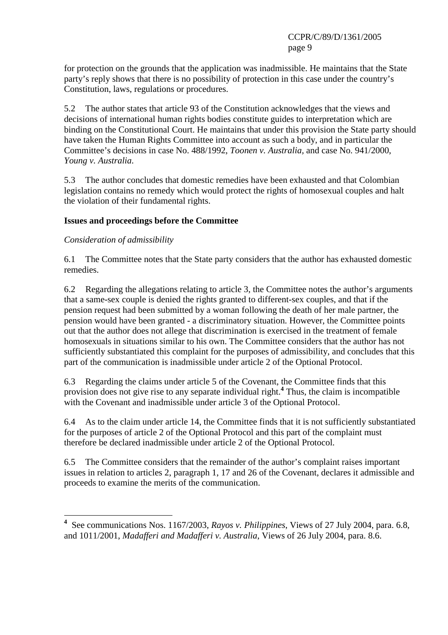for protection on the grounds that the application was inadmissible. He maintains that the State party's reply shows that there is no possibility of protection in this case under the country's Constitution, laws, regulations or procedures.

5.2 The author states that article 93 of the Constitution acknowledges that the views and decisions of international human rights bodies constitute guides to interpretation which are binding on the Constitutional Court. He maintains that under this provision the State party should have taken the Human Rights Committee into account as such a body, and in particular the Committee's decisions in case No. 488/1992, *Toonen v. Australia,* and case No. 941/2000, *Young v. Australia*.

5.3 The author concludes that domestic remedies have been exhausted and that Colombian legislation contains no remedy which would protect the rights of homosexual couples and halt the violation of their fundamental rights.

#### **Issues and proceedings before the Committee**

#### *Consideration of admissibility*

 $\overline{a}$ 

6.1 The Committee notes that the State party considers that the author has exhausted domestic remedies.

6.2 Regarding the allegations relating to article 3, the Committee notes the author's arguments that a same-sex couple is denied the rights granted to different-sex couples, and that if the pension request had been submitted by a woman following the death of her male partner, the pension would have been granted - a discriminatory situation. However, the Committee points out that the author does not allege that discrimination is exercised in the treatment of female homosexuals in situations similar to his own. The Committee considers that the author has not sufficiently substantiated this complaint for the purposes of admissibility, and concludes that this part of the communication is inadmissible under article 2 of the Optional Protocol.

6.3 Regarding the claims under article 5 of the Covenant, the Committee finds that this provision does not give rise to any separate individual right.**<sup>4</sup>** Thus, the claim is incompatible with the Covenant and inadmissible under article 3 of the Optional Protocol.

6.4 As to the claim under article 14, the Committee finds that it is not sufficiently substantiated for the purposes of article 2 of the Optional Protocol and this part of the complaint must therefore be declared inadmissible under article 2 of the Optional Protocol.

6.5 The Committee considers that the remainder of the author's complaint raises important issues in relation to articles 2, paragraph 1, 17 and 26 of the Covenant, declares it admissible and proceeds to examine the merits of the communication.

**<sup>4</sup>** See communications Nos. 1167/2003, *Rayos v. Philippines*, Views of 27 July 2004, para. 6.8, and 1011/2001, *Madafferi and Madafferi v. Australia*, Views of 26 July 2004, para. 8.6.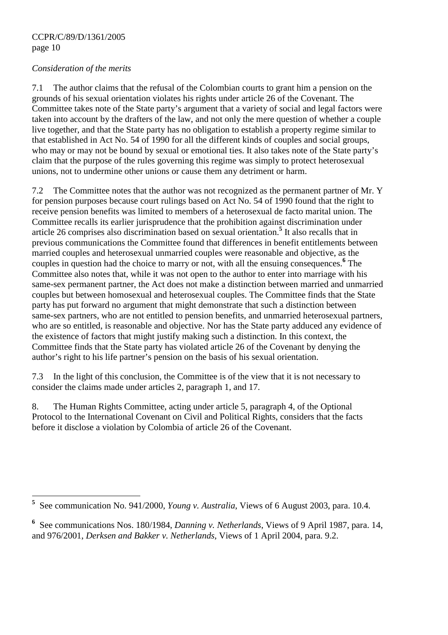#### *Consideration of the merits*

 $\overline{a}$ 

7.1 The author claims that the refusal of the Colombian courts to grant him a pension on the grounds of his sexual orientation violates his rights under article 26 of the Covenant. The Committee takes note of the State party's argument that a variety of social and legal factors were taken into account by the drafters of the law, and not only the mere question of whether a couple live together, and that the State party has no obligation to establish a property regime similar to that established in Act No. 54 of 1990 for all the different kinds of couples and social groups, who may or may not be bound by sexual or emotional ties. It also takes note of the State party's claim that the purpose of the rules governing this regime was simply to protect heterosexual unions, not to undermine other unions or cause them any detriment or harm.

7.2 The Committee notes that the author was not recognized as the permanent partner of Mr. Y for pension purposes because court rulings based on Act No. 54 of 1990 found that the right to receive pension benefits was limited to members of a heterosexual de facto marital union. The Committee recalls its earlier jurisprudence that the prohibition against discrimination under article 26 comprises also discrimination based on sexual orientation.**<sup>5</sup>** It also recalls that in previous communications the Committee found that differences in benefit entitlements between married couples and heterosexual unmarried couples were reasonable and objective, as the couples in question had the choice to marry or not, with all the ensuing consequences.**<sup>6</sup>** The Committee also notes that, while it was not open to the author to enter into marriage with his same-sex permanent partner, the Act does not make a distinction between married and unmarried couples but between homosexual and heterosexual couples. The Committee finds that the State party has put forward no argument that might demonstrate that such a distinction between same-sex partners, who are not entitled to pension benefits, and unmarried heterosexual partners, who are so entitled, is reasonable and objective. Nor has the State party adduced any evidence of the existence of factors that might justify making such a distinction. In this context, the Committee finds that the State party has violated article 26 of the Covenant by denying the author's right to his life partner's pension on the basis of his sexual orientation.

7.3 In the light of this conclusion, the Committee is of the view that it is not necessary to consider the claims made under articles 2, paragraph 1, and 17.

8. The Human Rights Committee, acting under article 5, paragraph 4, of the Optional Protocol to the International Covenant on Civil and Political Rights, considers that the facts before it disclose a violation by Colombia of article 26 of the Covenant.

**<sup>5</sup>** See communication No. 941/2000, *Young v. Australia*, Views of 6 August 2003, para. 10.4.

**<sup>6</sup>** See communications Nos. 180/1984, *Danning v. Netherlands*, Views of 9 April 1987, para. 14, and 976/2001, *Derksen and Bakker v. Netherlands*, Views of 1 April 2004, para. 9.2.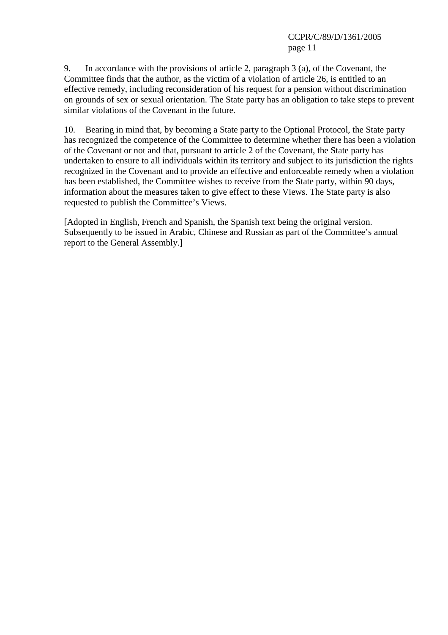9. In accordance with the provisions of article 2, paragraph 3 (a), of the Covenant, the Committee finds that the author, as the victim of a violation of article 26, is entitled to an effective remedy, including reconsideration of his request for a pension without discrimination on grounds of sex or sexual orientation. The State party has an obligation to take steps to prevent similar violations of the Covenant in the future.

10. Bearing in mind that, by becoming a State party to the Optional Protocol, the State party has recognized the competence of the Committee to determine whether there has been a violation of the Covenant or not and that, pursuant to article 2 of the Covenant, the State party has undertaken to ensure to all individuals within its territory and subject to its jurisdiction the rights recognized in the Covenant and to provide an effective and enforceable remedy when a violation has been established, the Committee wishes to receive from the State party, within 90 days, information about the measures taken to give effect to these Views. The State party is also requested to publish the Committee's Views.

[Adopted in English, French and Spanish, the Spanish text being the original version. Subsequently to be issued in Arabic, Chinese and Russian as part of the Committee's annual report to the General Assembly.]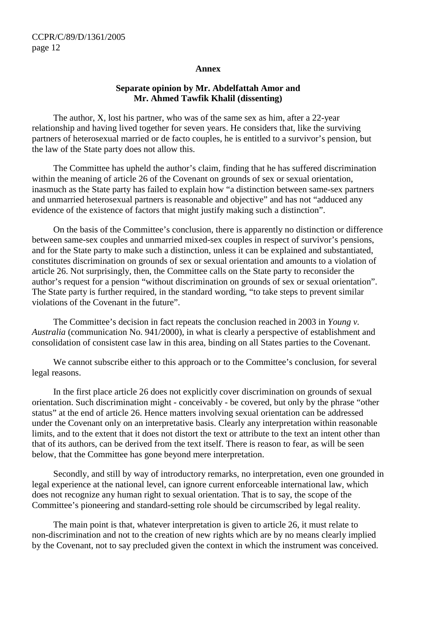#### **Annex**

#### **Separate opinion by Mr. Abdelfattah Amor and Mr. Ahmed Tawfik Khalil (dissenting)**

 The author, X, lost his partner, who was of the same sex as him, after a 22-year relationship and having lived together for seven years. He considers that, like the surviving partners of heterosexual married or de facto couples, he is entitled to a survivor's pension, but the law of the State party does not allow this.

 The Committee has upheld the author's claim, finding that he has suffered discrimination within the meaning of article 26 of the Covenant on grounds of sex or sexual orientation, inasmuch as the State party has failed to explain how "a distinction between same-sex partners and unmarried heterosexual partners is reasonable and objective" and has not "adduced any evidence of the existence of factors that might justify making such a distinction".

 On the basis of the Committee's conclusion, there is apparently no distinction or difference between same-sex couples and unmarried mixed-sex couples in respect of survivor's pensions, and for the State party to make such a distinction, unless it can be explained and substantiated, constitutes discrimination on grounds of sex or sexual orientation and amounts to a violation of article 26. Not surprisingly, then, the Committee calls on the State party to reconsider the author's request for a pension "without discrimination on grounds of sex or sexual orientation". The State party is further required, in the standard wording, "to take steps to prevent similar violations of the Covenant in the future".

 The Committee's decision in fact repeats the conclusion reached in 2003 in *Young v. Australia* (communication No. 941/2000), in what is clearly a perspective of establishment and consolidation of consistent case law in this area, binding on all States parties to the Covenant.

 We cannot subscribe either to this approach or to the Committee's conclusion, for several legal reasons.

 In the first place article 26 does not explicitly cover discrimination on grounds of sexual orientation. Such discrimination might - conceivably - be covered, but only by the phrase "other status" at the end of article 26. Hence matters involving sexual orientation can be addressed under the Covenant only on an interpretative basis. Clearly any interpretation within reasonable limits, and to the extent that it does not distort the text or attribute to the text an intent other than that of its authors, can be derived from the text itself. There is reason to fear, as will be seen below, that the Committee has gone beyond mere interpretation.

 Secondly, and still by way of introductory remarks, no interpretation, even one grounded in legal experience at the national level, can ignore current enforceable international law, which does not recognize any human right to sexual orientation. That is to say, the scope of the Committee's pioneering and standard-setting role should be circumscribed by legal reality.

 The main point is that, whatever interpretation is given to article 26, it must relate to non-discrimination and not to the creation of new rights which are by no means clearly implied by the Covenant, not to say precluded given the context in which the instrument was conceived.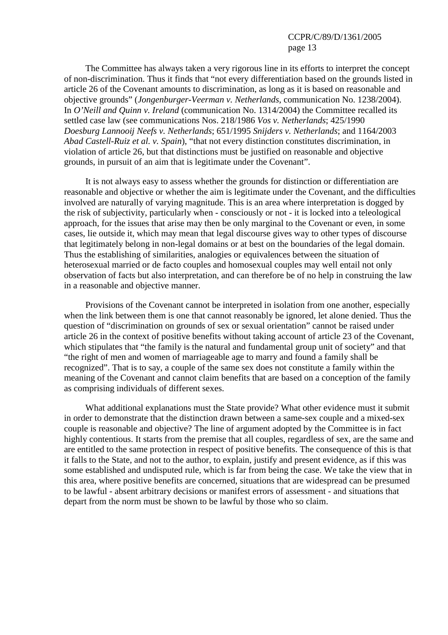The Committee has always taken a very rigorous line in its efforts to interpret the concept of non-discrimination. Thus it finds that "not every differentiation based on the grounds listed in article 26 of the Covenant amounts to discrimination, as long as it is based on reasonable and objective grounds" (*Jongenburger-Veerman v. Netherlands*, communication No. 1238/2004). In *O'Neill and Quinn v. Ireland* (communication No. 1314/2004) the Committee recalled its settled case law (see communications Nos. 218/1986 *Vos v. Netherlands*; 425/1990 *Doesburg Lannooij Neefs v. Netherlands*; 651/1995 *Snijders v. Netherlands*; and 1164/2003 *Abad Castell-Ruiz et al. v. Spain*), "that not every distinction constitutes discrimination, in violation of article 26, but that distinctions must be justified on reasonable and objective grounds, in pursuit of an aim that is legitimate under the Covenant".

 It is not always easy to assess whether the grounds for distinction or differentiation are reasonable and objective or whether the aim is legitimate under the Covenant, and the difficulties involved are naturally of varying magnitude. This is an area where interpretation is dogged by the risk of subjectivity, particularly when - consciously or not - it is locked into a teleological approach, for the issues that arise may then be only marginal to the Covenant or even, in some cases, lie outside it, which may mean that legal discourse gives way to other types of discourse that legitimately belong in non-legal domains or at best on the boundaries of the legal domain. Thus the establishing of similarities, analogies or equivalences between the situation of heterosexual married or de facto couples and homosexual couples may well entail not only observation of facts but also interpretation, and can therefore be of no help in construing the law in a reasonable and objective manner.

 Provisions of the Covenant cannot be interpreted in isolation from one another, especially when the link between them is one that cannot reasonably be ignored, let alone denied. Thus the question of "discrimination on grounds of sex or sexual orientation" cannot be raised under article 26 in the context of positive benefits without taking account of article 23 of the Covenant, which stipulates that "the family is the natural and fundamental group unit of society" and that "the right of men and women of marriageable age to marry and found a family shall be recognized". That is to say, a couple of the same sex does not constitute a family within the meaning of the Covenant and cannot claim benefits that are based on a conception of the family as comprising individuals of different sexes.

 What additional explanations must the State provide? What other evidence must it submit in order to demonstrate that the distinction drawn between a same-sex couple and a mixed-sex couple is reasonable and objective? The line of argument adopted by the Committee is in fact highly contentious. It starts from the premise that all couples, regardless of sex, are the same and are entitled to the same protection in respect of positive benefits. The consequence of this is that it falls to the State, and not to the author, to explain, justify and present evidence, as if this was some established and undisputed rule, which is far from being the case. We take the view that in this area, where positive benefits are concerned, situations that are widespread can be presumed to be lawful - absent arbitrary decisions or manifest errors of assessment - and situations that depart from the norm must be shown to be lawful by those who so claim.